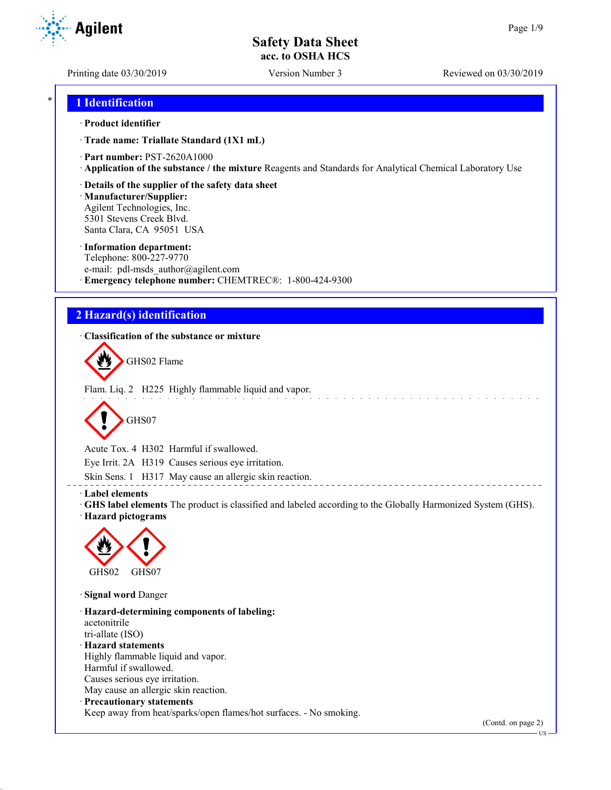Printing date 03/30/2019 Version Number 3 Reviewed on 03/30/2019

Agilent

## \* **1 Identification**

### · **Product identifier**

· **Trade name: Triallate Standard (1X1 mL)**

- · **Part number:** PST-2620A1000
- · **Application of the substance / the mixture** Reagents and Standards for Analytical Chemical Laboratory Use
- · **Details of the supplier of the safety data sheet**

· **Manufacturer/Supplier:** Agilent Technologies, Inc. 5301 Stevens Creek Blvd. Santa Clara, CA 95051 USA

### · **Information department:**

Telephone: 800-227-9770 e-mail: pdl-msds author@agilent.com · **Emergency telephone number:** CHEMTREC®: 1-800-424-9300

# **2 Hazard(s) identification**

· **Classification of the substance or mixture**

GHS02 Flame

Flam. Liq. 2 H225 Highly flammable liquid and vapor.



Acute Tox. 4 H302 Harmful if swallowed.

Eye Irrit. 2A H319 Causes serious eye irritation.

Skin Sens. 1 H317 May cause an allergic skin reaction.

· **Label elements**

· **GHS label elements** The product is classified and labeled according to the Globally Harmonized System (GHS).

· **Hazard pictograms**



· **Signal word** Danger

· **Hazard-determining components of labeling:** acetonitrile tri-allate (ISO) · **Hazard statements** Highly flammable liquid and vapor. Harmful if swallowed. Causes serious eye irritation. May cause an allergic skin reaction. · **Precautionary statements**

Keep away from heat/sparks/open flames/hot surfaces. - No smoking.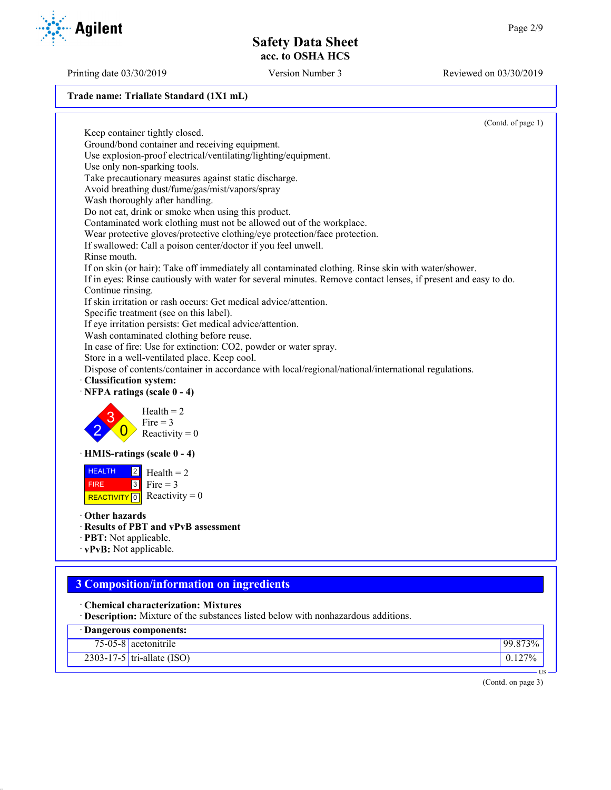#### **Trade name: Triallate Standard (1X1 mL)**

(Contd. of page 1) Keep container tightly closed. Ground/bond container and receiving equipment. Use explosion-proof electrical/ventilating/lighting/equipment. Use only non-sparking tools. Take precautionary measures against static discharge. Avoid breathing dust/fume/gas/mist/vapors/spray Wash thoroughly after handling. Do not eat, drink or smoke when using this product. Contaminated work clothing must not be allowed out of the workplace. Wear protective gloves/protective clothing/eye protection/face protection. If swallowed: Call a poison center/doctor if you feel unwell. Rinse mouth. If on skin (or hair): Take off immediately all contaminated clothing. Rinse skin with water/shower. If in eyes: Rinse cautiously with water for several minutes. Remove contact lenses, if present and easy to do. Continue rinsing. If skin irritation or rash occurs: Get medical advice/attention. Specific treatment (see on this label). If eye irritation persists: Get medical advice/attention. Wash contaminated clothing before reuse. In case of fire: Use for extinction: CO2, powder or water spray. Store in a well-ventilated place. Keep cool. Dispose of contents/container in accordance with local/regional/national/international regulations. · **Classification system:** · **NFPA ratings (scale 0 - 4)** 2 3  $\overline{0}$  $Health = 2$ Fire  $= 3$ Reactivity  $= 0$ · **HMIS-ratings (scale 0 - 4)** HEALTH FIRE ReacTIVITY  $\boxed{0}$  Reactivity = 0  $|2|$  $3$  Fire = 3  $Health = 2$ · **Other hazards** · **Results of PBT and vPvB assessment** · **PBT:** Not applicable. · **vPvB:** Not applicable.

# **3 Composition/information on ingredients**

- · **Chemical characterization: Mixtures**
- · **Description:** Mixture of the substances listed below with nonhazardous additions.

| Dangerous components: |                              |            |
|-----------------------|------------------------------|------------|
|                       | $75-05-8$ acetonitrile       | $99.873\%$ |
|                       | $2303-17-5$ tri-allate (ISO) | $0.127\%$  |
|                       |                              | US –       |

(Contd. on page 3)



Printing date 03/30/2019 Version Number 3 Reviewed on 03/30/2019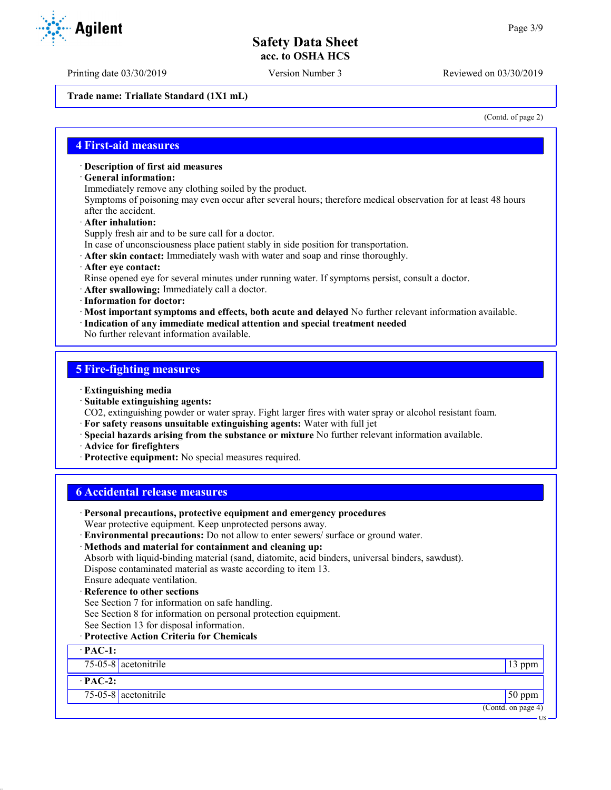Printing date 03/30/2019 Version Number 3 Reviewed on 03/30/2019

**Trade name: Triallate Standard (1X1 mL)**

(Contd. of page 2)

## **4 First-aid measures**

#### · **Description of first aid measures**

- · **General information:**
- Immediately remove any clothing soiled by the product.

Symptoms of poisoning may even occur after several hours; therefore medical observation for at least 48 hours after the accident.

· **After inhalation:**

Supply fresh air and to be sure call for a doctor.

- In case of unconsciousness place patient stably in side position for transportation.
- · **After skin contact:** Immediately wash with water and soap and rinse thoroughly.
- · **After eye contact:**
- Rinse opened eye for several minutes under running water. If symptoms persist, consult a doctor.
- · **After swallowing:** Immediately call a doctor.
- · **Information for doctor:**
- · **Most important symptoms and effects, both acute and delayed** No further relevant information available.
- · **Indication of any immediate medical attention and special treatment needed**

No further relevant information available.

## **5 Fire-fighting measures**

- · **Extinguishing media**
- · **Suitable extinguishing agents:**
- CO2, extinguishing powder or water spray. Fight larger fires with water spray or alcohol resistant foam.
- · **For safety reasons unsuitable extinguishing agents:** Water with full jet
- · **Special hazards arising from the substance or mixture** No further relevant information available.
- · **Advice for firefighters**
- · **Protective equipment:** No special measures required.

## **6 Accidental release measures**

| · Personal precautions, protective equipment and emergency procedures                            |                    |
|--------------------------------------------------------------------------------------------------|--------------------|
| Wear protective equipment. Keep unprotected persons away.                                        |                    |
| · Environmental precautions: Do not allow to enter sewers/ surface or ground water.              |                    |
| · Methods and material for containment and cleaning up:                                          |                    |
| Absorb with liquid-binding material (sand, diatomite, acid binders, universal binders, sawdust). |                    |
| Dispose contaminated material as waste according to item 13.                                     |                    |
| Ensure adequate ventilation.                                                                     |                    |
| · Reference to other sections                                                                    |                    |
| See Section 7 for information on safe handling.                                                  |                    |
| See Section 8 for information on personal protection equipment.                                  |                    |
| See Section 13 for disposal information.                                                         |                    |
| · Protective Action Criteria for Chemicals                                                       |                    |
| $\cdot$ PAC-1:                                                                                   |                    |
| 75-05-8 acetonitrile                                                                             | $13$ ppm           |
| $\cdot$ PAC-2:                                                                                   |                    |
| $75-05-8$ acetonitrile                                                                           | $50$ ppm           |
|                                                                                                  | (Contd. on page 4) |
|                                                                                                  | US –               |

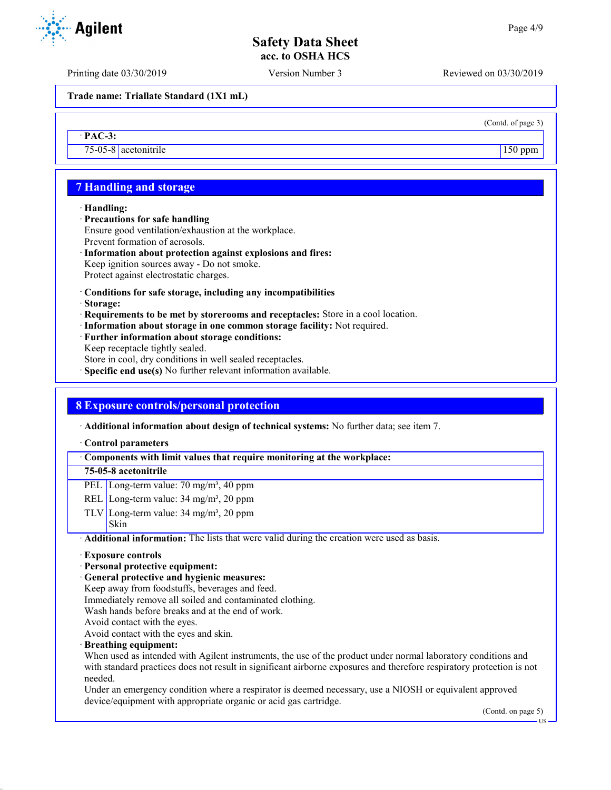Printing date 03/30/2019 Version Number 3 Reviewed on 03/30/2019

**Trade name: Triallate Standard (1X1 mL)**

· **PAC-3:**

75-05-8 acetonitrile 150 ppm

# **7 Handling and storage**

#### · **Handling:**

- · **Precautions for safe handling**
- Ensure good ventilation/exhaustion at the workplace. Prevent formation of aerosols.
- · **Information about protection against explosions and fires:** Keep ignition sources away - Do not smoke. Protect against electrostatic charges.
- · **Conditions for safe storage, including any incompatibilities**
- · **Storage:**
- · **Requirements to be met by storerooms and receptacles:** Store in a cool location.
- · **Information about storage in one common storage facility:** Not required.
- · **Further information about storage conditions:** Keep receptacle tightly sealed. Store in cool, dry conditions in well sealed receptacles.
- · **Specific end use(s)** No further relevant information available.

## **8 Exposure controls/personal protection**

· **Additional information about design of technical systems:** No further data; see item 7.

#### · **Control parameters**

#### · **Components with limit values that require monitoring at the workplace:**

## **75-05-8 acetonitrile**

- PEL Long-term value: 70 mg/m<sup>3</sup>, 40 ppm
- REL Long-term value:  $34 \text{ mg/m}^3$ ,  $20 \text{ ppm}$
- TLV Long-term value:  $34 \text{ mg/m}^3$ ,  $20 \text{ ppm}$ Skin

· **Additional information:** The lists that were valid during the creation were used as basis.

#### · **Exposure controls**

- · **Personal protective equipment:**
- · **General protective and hygienic measures:**
- Keep away from foodstuffs, beverages and feed.
- Immediately remove all soiled and contaminated clothing.
- Wash hands before breaks and at the end of work.
- Avoid contact with the eyes.

Avoid contact with the eyes and skin.

· **Breathing equipment:**

When used as intended with Agilent instruments, the use of the product under normal laboratory conditions and with standard practices does not result in significant airborne exposures and therefore respiratory protection is not needed.

Under an emergency condition where a respirator is deemed necessary, use a NIOSH or equivalent approved device/equipment with appropriate organic or acid gas cartridge.

(Contd. on page 5)

US



(Contd. of page 3)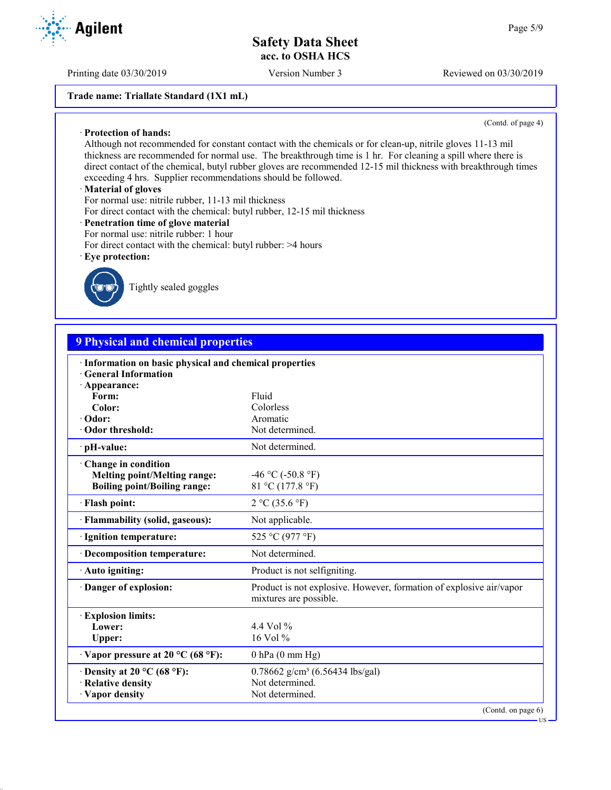Printing date 03/30/2019 Version Number 3 Reviewed on 03/30/2019

### **Trade name: Triallate Standard (1X1 mL)**

(Contd. of page 4)

Although not recommended for constant contact with the chemicals or for clean-up, nitrile gloves 11-13 mil thickness are recommended for normal use. The breakthrough time is 1 hr. For cleaning a spill where there is direct contact of the chemical, butyl rubber gloves are recommended 12-15 mil thickness with breakthrough times exceeding 4 hrs. Supplier recommendations should be followed.

#### · **Material of gloves**

· **Protection of hands:**

For normal use: nitrile rubber, 11-13 mil thickness

- For direct contact with the chemical: butyl rubber, 12-15 mil thickness
- · **Penetration time of glove material**
- For normal use: nitrile rubber: 1 hour
- For direct contact with the chemical: butyl rubber: >4 hours
- · **Eye protection:**



Tightly sealed goggles

# **9 Physical and chemical properties**

| · Information on basic physical and chemical properties<br><b>General Information</b> |                                                                                               |
|---------------------------------------------------------------------------------------|-----------------------------------------------------------------------------------------------|
| · Appearance:                                                                         |                                                                                               |
| Form:                                                                                 | Fluid                                                                                         |
| Color:                                                                                | Colorless                                                                                     |
| $\cdot$ Odor:                                                                         | Aromatic                                                                                      |
| Odor threshold:                                                                       | Not determined.                                                                               |
| · pH-value:                                                                           | Not determined.                                                                               |
| Change in condition                                                                   |                                                                                               |
| <b>Melting point/Melting range:</b>                                                   | $-46$ °C ( $-50.8$ °F)                                                                        |
| <b>Boiling point/Boiling range:</b>                                                   | 81 °C (177.8 °F)                                                                              |
| · Flash point:                                                                        | 2 °C (35.6 °F)                                                                                |
| · Flammability (solid, gaseous):                                                      | Not applicable.                                                                               |
| · Ignition temperature:                                                               | 525 °C (977 °F)                                                                               |
| · Decomposition temperature:                                                          | Not determined.                                                                               |
| · Auto igniting:                                                                      | Product is not selfigniting.                                                                  |
| Danger of explosion:                                                                  | Product is not explosive. However, formation of explosive air/vapor<br>mixtures are possible. |
| <b>Explosion limits:</b>                                                              |                                                                                               |
| Lower:                                                                                | 4.4 Vol $%$                                                                                   |
| Upper:                                                                                | 16 Vol %                                                                                      |
| $\cdot$ Vapor pressure at 20 °C (68 °F):                                              | $0$ hPa $(0 \text{ mm Hg})$                                                                   |
| $\cdot$ Density at 20 °C (68 °F):                                                     | $0.78662$ g/cm <sup>3</sup> (6.56434 lbs/gal)                                                 |
| · Relative density                                                                    | Not determined.                                                                               |
| · Vapor density                                                                       | Not determined.                                                                               |
|                                                                                       | (Contd. on page 6)                                                                            |
|                                                                                       | US                                                                                            |

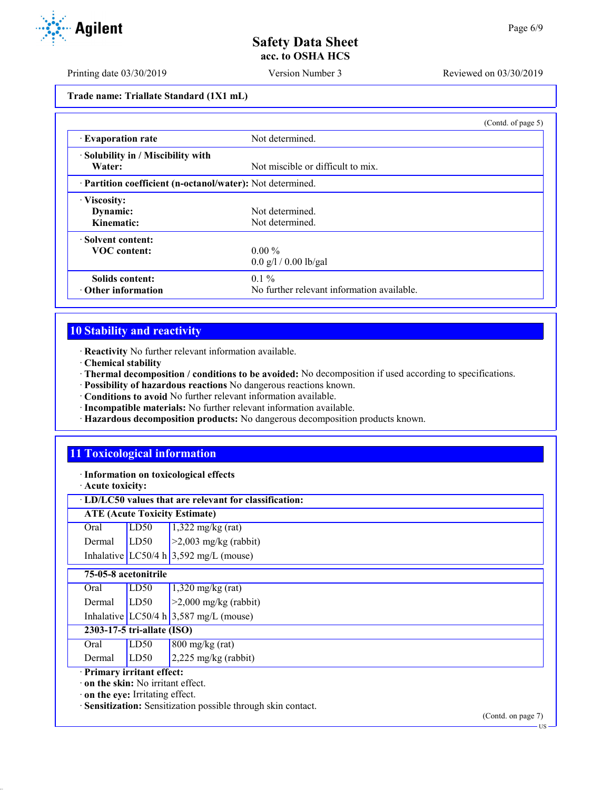Printing date 03/30/2019 Version Number 3 Reviewed on 03/30/2019

**Trade name: Triallate Standard (1X1 mL)**

|                                                            |                                            | (Contd. of page 5) |
|------------------------------------------------------------|--------------------------------------------|--------------------|
| <b>Evaporation rate</b>                                    | Not determined.                            |                    |
| · Solubility in / Miscibility with<br>Water:               | Not miscible or difficult to mix.          |                    |
| · Partition coefficient (n-octanol/water): Not determined. |                                            |                    |
| · Viscosity:                                               |                                            |                    |
| Dynamic:                                                   | Not determined.                            |                    |
| Kinematic:                                                 | Not determined.                            |                    |
| · Solvent content:                                         |                                            |                    |
| <b>VOC</b> content:                                        | $0.00\%$                                   |                    |
|                                                            | $0.0$ g/l / 0.00 lb/gal                    |                    |
| Solids content:                                            | $0.1\%$                                    |                    |
| $\cdot$ Other information                                  | No further relevant information available. |                    |

# **10 Stability and reactivity**

· **Reactivity** No further relevant information available.

- · **Chemical stability**
- · **Thermal decomposition / conditions to be avoided:** No decomposition if used according to specifications.
- · **Possibility of hazardous reactions** No dangerous reactions known.
- · **Conditions to avoid** No further relevant information available.
- · **Incompatible materials:** No further relevant information available.
- · **Hazardous decomposition products:** No dangerous decomposition products known.

# **11 Toxicological information**

· **Information on toxicological effects**

· **Acute toxicity:**

# · **LD/LC50 values that are relevant for classification:**

| <b>ATE (Acute Toxicity Estimate)</b> |  |                                                                                                                      |
|--------------------------------------|--|----------------------------------------------------------------------------------------------------------------------|
|                                      |  |                                                                                                                      |
|                                      |  | Oral LD50 $1,322 \text{ mg/kg (rat)}$<br>Dermal LD50 >2,003 mg/kg (rabbit)<br>Inhalative LC50/4 h 3,592 mg/L (mouse) |
|                                      |  |                                                                                                                      |

## **75-05-8 acetonitrile**

| 2303-17-5 tri-allate (ISO)<br> |  |                                                                                                                      |
|--------------------------------|--|----------------------------------------------------------------------------------------------------------------------|
|                                |  |                                                                                                                      |
|                                |  | Oral LD50 $1,320 \text{ mg/kg (rat)}$<br>Dermal LD50 >2,000 mg/kg (rabbit)<br>Inhalative LC50/4 h 3,587 mg/L (mouse) |
|                                |  |                                                                                                                      |

Oral  $LD50$  800 mg/kg (rat) Dermal LD50 2,225 mg/kg (rabbit)

· **Primary irritant effect:**

· **on the skin:** No irritant effect.

· **on the eye:** Irritating effect.

· **Sensitization:** Sensitization possible through skin contact.

(Contd. on page 7)



US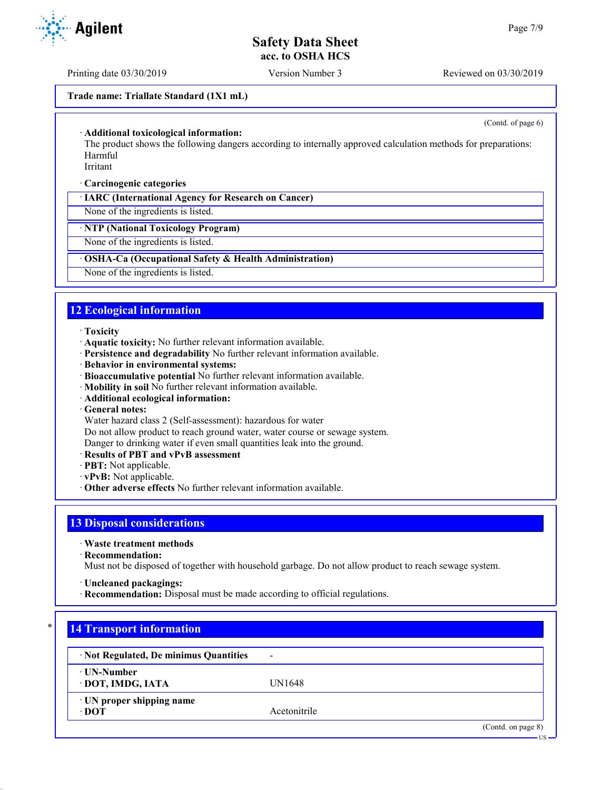Printing date 03/30/2019 Version Number 3 Reviewed on 03/30/2019

**Trade name: Triallate Standard (1X1 mL)**

(Contd. of page 6)

US

#### · **Additional toxicological information:**

The product shows the following dangers according to internally approved calculation methods for preparations: Harmful

Irritant

#### · **Carcinogenic categories**

· **IARC (International Agency for Research on Cancer)**

None of the ingredients is listed.

## · **NTP (National Toxicology Program)**

None of the ingredients is listed.

## · **OSHA-Ca (Occupational Safety & Health Administration)**

None of the ingredients is listed.

## **12 Ecological information**

- · **Toxicity**
- · **Aquatic toxicity:** No further relevant information available.
- · **Persistence and degradability** No further relevant information available.
- · **Behavior in environmental systems:**
- · **Bioaccumulative potential** No further relevant information available.
- · **Mobility in soil** No further relevant information available.
- · **Additional ecological information:**
- · **General notes:**
- Water hazard class 2 (Self-assessment): hazardous for water

Do not allow product to reach ground water, water course or sewage system.

Danger to drinking water if even small quantities leak into the ground.

- · **Results of PBT and vPvB assessment**
- · **PBT:** Not applicable.
- · **vPvB:** Not applicable.
- · **Other adverse effects** No further relevant information available.

# **13 Disposal considerations**

- · **Waste treatment methods**
- · **Recommendation:**

Must not be disposed of together with household garbage. Do not allow product to reach sewage system.

- · **Uncleaned packagings:**
- · **Recommendation:** Disposal must be made according to official regulations.

## **14 Transport information**

| · Not Regulated, De minimus Quantities         | $\blacksquare$ |                   |
|------------------------------------------------|----------------|-------------------|
| ⋅ UN-Number<br>· DOT, IMDG, IATA               | UN1648         |                   |
| $\cdot$ UN proper shipping name<br>$\cdot$ DOT | Acetonitrile   |                   |
|                                                |                | (Cond. on page 8) |

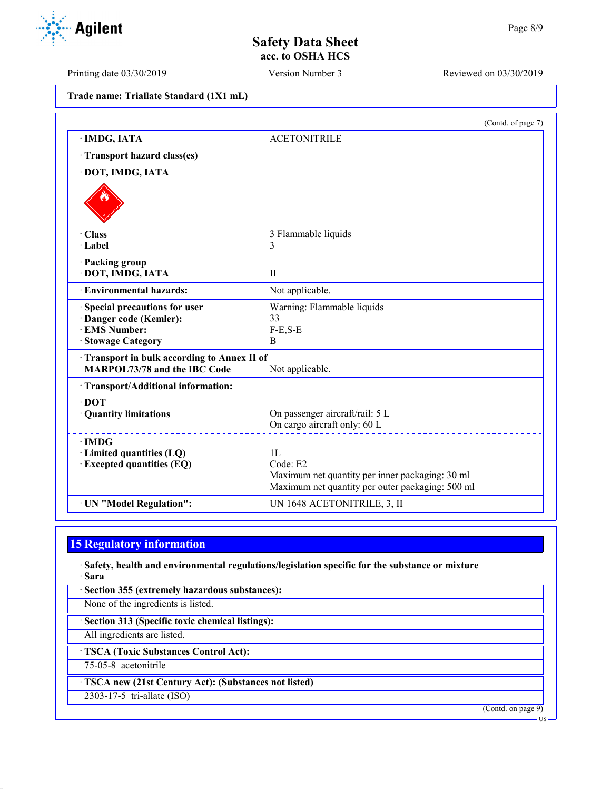Printing date 03/30/2019 Version Number 3 Reviewed on 03/30/2019

**Trade name: Triallate Standard (1X1 mL)**

|                                                                                                       | (Contd. of page 7)                                                                                                    |
|-------------------------------------------------------------------------------------------------------|-----------------------------------------------------------------------------------------------------------------------|
| · IMDG, IATA                                                                                          | <b>ACETONITRILE</b>                                                                                                   |
| Transport hazard class(es)                                                                            |                                                                                                                       |
| · DOT, IMDG, IATA                                                                                     |                                                                                                                       |
|                                                                                                       |                                                                                                                       |
| $\cdot$ Class                                                                                         | 3 Flammable liquids                                                                                                   |
| · Label                                                                                               | 3                                                                                                                     |
| · Packing group<br>· DOT, IMDG, IATA                                                                  | $\mathbf{I}$                                                                                                          |
| · Environmental hazards:                                                                              | Not applicable.                                                                                                       |
| · Special precautions for user<br>· Danger code (Kemler):<br><b>EMS</b> Number:<br>· Stowage Category | Warning: Flammable liquids<br>33<br>$F-E,S-E$<br>B                                                                    |
| Transport in bulk according to Annex II of<br><b>MARPOL73/78 and the IBC Code</b>                     | Not applicable.                                                                                                       |
| · Transport/Additional information:                                                                   |                                                                                                                       |
| $\cdot$ DOT<br>· Quantity limitations                                                                 | On passenger aircraft/rail: 5 L<br>On cargo aircraft only: 60 L                                                       |
| $\cdot$ IMDG<br>· Limited quantities (LQ)<br>· Excepted quantities (EQ)                               | 1L<br>Code: E2<br>Maximum net quantity per inner packaging: 30 ml<br>Maximum net quantity per outer packaging: 500 ml |
| · UN "Model Regulation":                                                                              | UN 1648 ACETONITRILE, 3, II                                                                                           |

# **15 Regulatory information**

· **Safety, health and environmental regulations/legislation specific for the substance or mixture** · **Sara**

· **Section 355 (extremely hazardous substances):**

None of the ingredients is listed.

· **Section 313 (Specific toxic chemical listings):**

All ingredients are listed.

· **TSCA (Toxic Substances Control Act):**

75-05-8 acetonitrile

· **TSCA new (21st Century Act): (Substances not listed)**

2303-17-5 tri-allate (ISO)

(Contd. on page 9) US